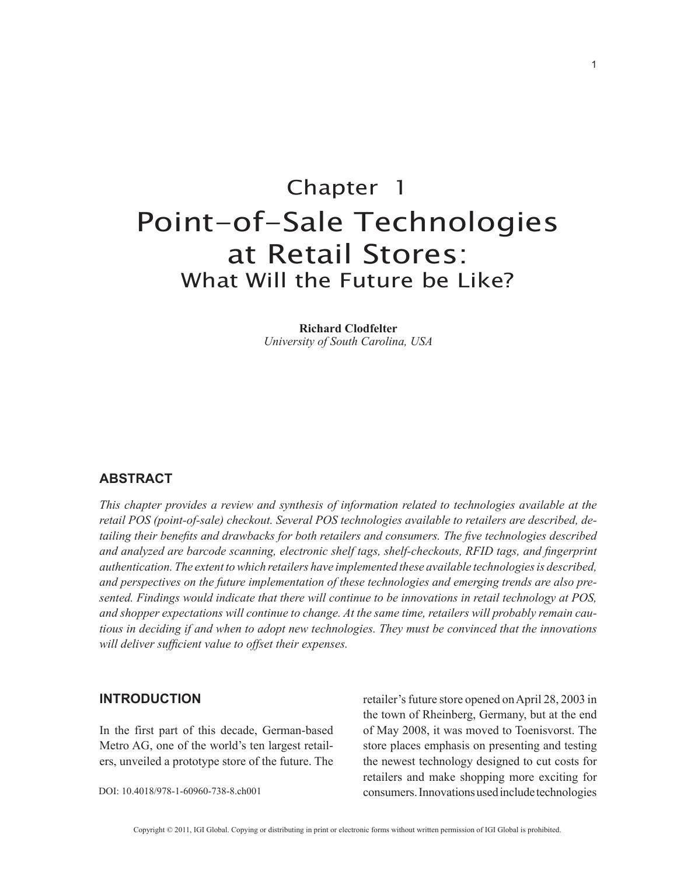# Chapter 1 Point-of-Sale Technologies at Retail Stores: What Will the Future be Like?

**Richard Clodfelter** *University of South Carolina, USA*

#### **ABSTRACT**

*This chapter provides a review and synthesis of information related to technologies available at the retail POS (point-of-sale) checkout. Several POS technologies available to retailers are described, detailing their benefits and drawbacks for both retailers and consumers. The five technologies described and analyzed are barcode scanning, electronic shelf tags, shelf-checkouts, RFID tags, and fingerprint authentication. The extent to which retailers have implemented these available technologies is described, and perspectives on the future implementation of these technologies and emerging trends are also presented. Findings would indicate that there will continue to be innovations in retail technology at POS, and shopper expectations will continue to change. At the same time, retailers will probably remain cautious in deciding if and when to adopt new technologies. They must be convinced that the innovations will deliver sufficient value to offset their expenses.*

#### **INTRODUCTION**

In the first part of this decade, German-based Metro AG, one of the world's ten largest retailers, unveiled a prototype store of the future. The

DOI: 10.4018/978-1-60960-738-8.ch001

retailer's future store opened on April 28, 2003 in the town of Rheinberg, Germany, but at the end of May 2008, it was moved to Toenisvorst. The store places emphasis on presenting and testing the newest technology designed to cut costs for retailers and make shopping more exciting for consumers. Innovations used include technologies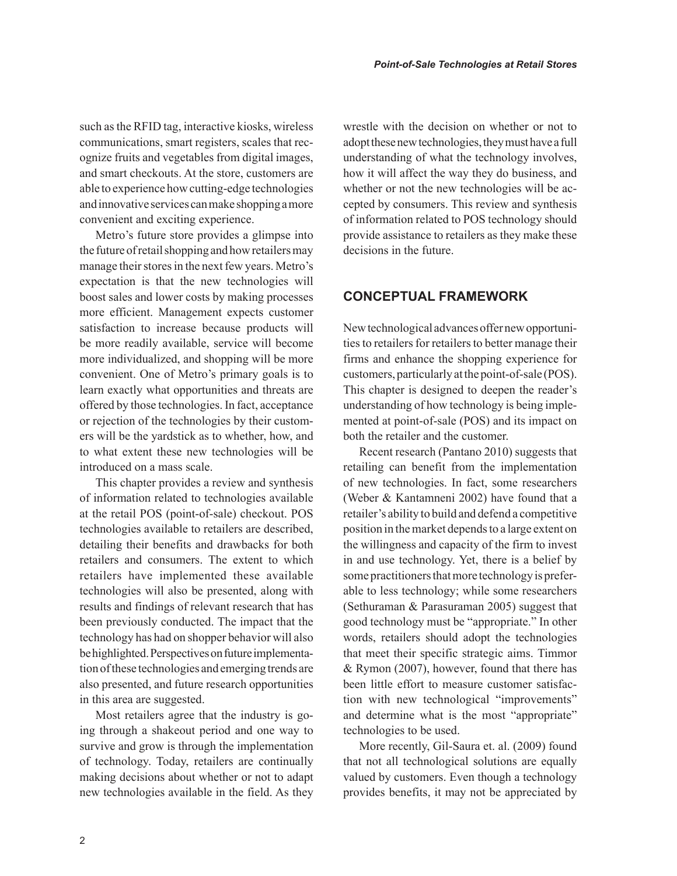such as the RFID tag, interactive kiosks, wireless communications, smart registers, scales that recognize fruits and vegetables from digital images, and smart checkouts. At the store, customers are able to experience how cutting-edge technologies and innovative services can make shopping a more convenient and exciting experience.

Metro's future store provides a glimpse into the future of retail shopping and how retailers may manage their stores in the next few years. Metro's expectation is that the new technologies will boost sales and lower costs by making processes more efficient. Management expects customer satisfaction to increase because products will be more readily available, service will become more individualized, and shopping will be more convenient. One of Metro's primary goals is to learn exactly what opportunities and threats are offered by those technologies. In fact, acceptance or rejection of the technologies by their customers will be the yardstick as to whether, how, and to what extent these new technologies will be introduced on a mass scale.

This chapter provides a review and synthesis of information related to technologies available at the retail POS (point-of-sale) checkout. POS technologies available to retailers are described, detailing their benefits and drawbacks for both retailers and consumers. The extent to which retailers have implemented these available technologies will also be presented, along with results and findings of relevant research that has been previously conducted. The impact that the technology has had on shopper behavior will also be highlighted. Perspectives on future implementation of these technologies and emerging trends are also presented, and future research opportunities in this area are suggested.

Most retailers agree that the industry is going through a shakeout period and one way to survive and grow is through the implementation of technology. Today, retailers are continually making decisions about whether or not to adapt new technologies available in the field. As they wrestle with the decision on whether or not to adopt these new technologies, they must have a full understanding of what the technology involves, how it will affect the way they do business, and whether or not the new technologies will be accepted by consumers. This review and synthesis of information related to POS technology should provide assistance to retailers as they make these decisions in the future.

## **CONCEPTUAL FRAMEWORK**

New technological advances offer new opportunities to retailers for retailers to better manage their firms and enhance the shopping experience for customers, particularly at the point-of-sale (POS). This chapter is designed to deepen the reader's understanding of how technology is being implemented at point-of-sale (POS) and its impact on both the retailer and the customer.

Recent research (Pantano 2010) suggests that retailing can benefit from the implementation of new technologies. In fact, some researchers (Weber & Kantamneni 2002) have found that a retailer's ability to build and defend a competitive position in the market depends to a large extent on the willingness and capacity of the firm to invest in and use technology. Yet, there is a belief by some practitioners that more technology is preferable to less technology; while some researchers (Sethuraman & Parasuraman 2005) suggest that good technology must be "appropriate." In other words, retailers should adopt the technologies that meet their specific strategic aims. Timmor & Rymon (2007), however, found that there has been little effort to measure customer satisfaction with new technological "improvements" and determine what is the most "appropriate" technologies to be used.

More recently, Gil-Saura et. al. (2009) found that not all technological solutions are equally valued by customers. Even though a technology provides benefits, it may not be appreciated by